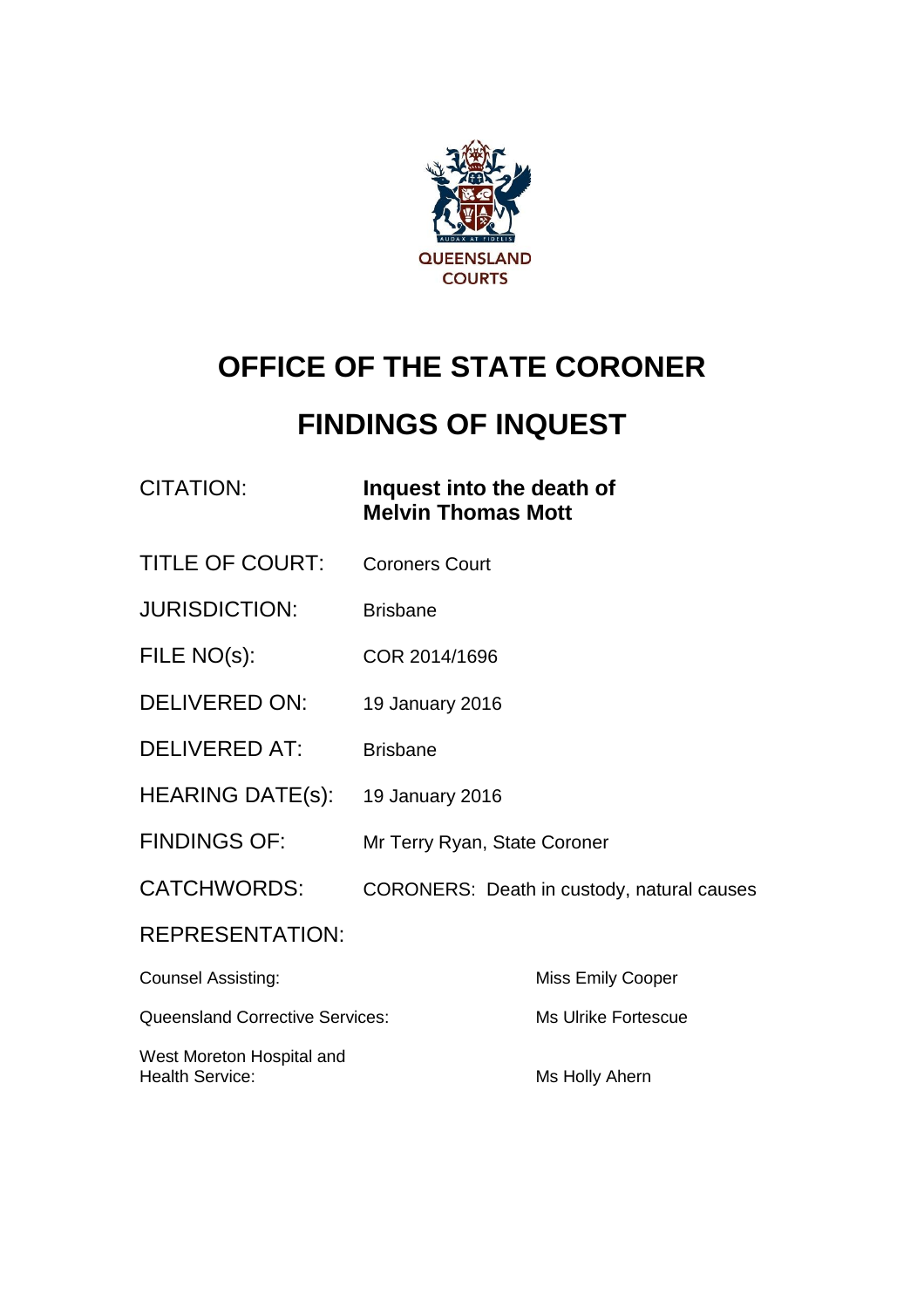

# **OFFICE OF THE STATE CORONER**

# **FINDINGS OF INQUEST**

| <b>CITATION:</b> |  |
|------------------|--|

#### **Inquest into the death of Melvin Thomas Mott**

- TITLE OF COURT: Coroners Court
- JURISDICTION: Brisbane
- FILE NO(s): COR 2014/1696
- DELIVERED ON: 19 January 2016
- DELIVERED AT: Brisbane
- HEARING DATE(s): 19 January 2016
- FINDINGS OF: Mr Terry Ryan, State Coroner
- CATCHWORDS: CORONERS: Death in custody, natural causes

#### REPRESENTATION:

| <b>Counsel Assisting:</b>                           | <b>Miss Emily Cooper</b> |
|-----------------------------------------------------|--------------------------|
| <b>Queensland Corrective Services:</b>              | Ms Ulrike Fortescue      |
| West Moreton Hospital and<br><b>Health Service:</b> | Ms Holly Ahern           |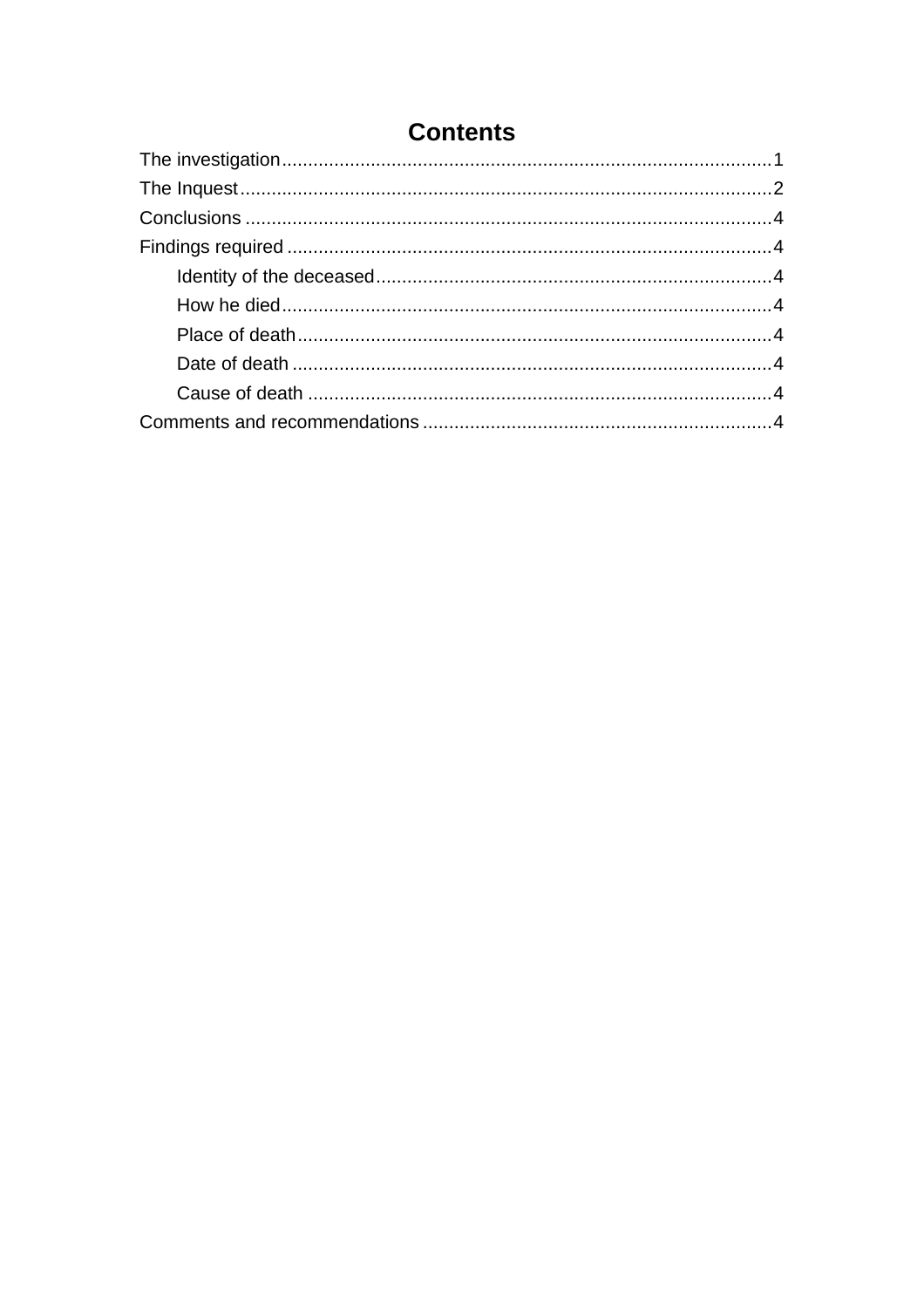### **Contents**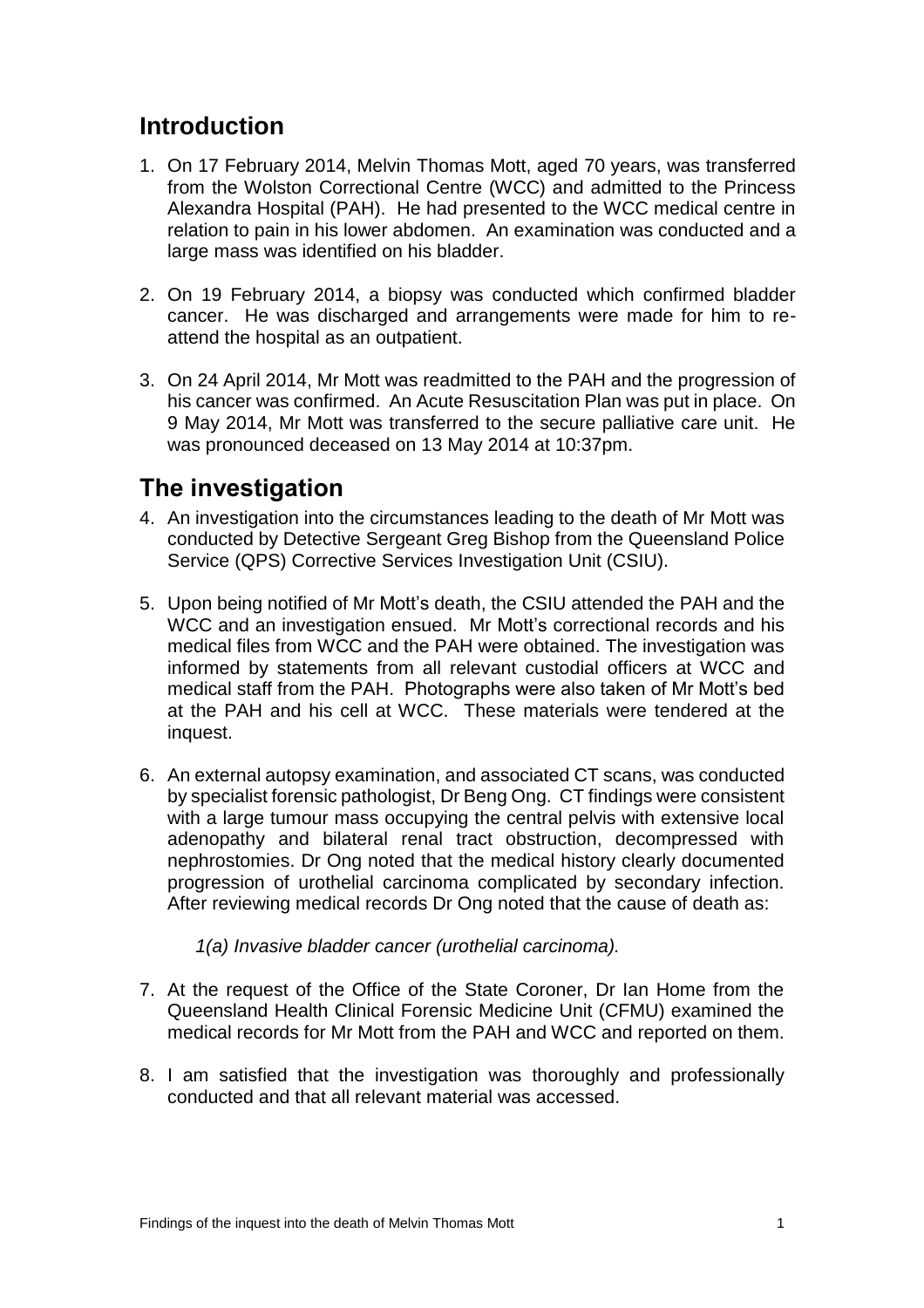### **Introduction**

- 1. On 17 February 2014, Melvin Thomas Mott, aged 70 years, was transferred from the Wolston Correctional Centre (WCC) and admitted to the Princess Alexandra Hospital (PAH). He had presented to the WCC medical centre in relation to pain in his lower abdomen. An examination was conducted and a large mass was identified on his bladder.
- 2. On 19 February 2014, a biopsy was conducted which confirmed bladder cancer. He was discharged and arrangements were made for him to reattend the hospital as an outpatient.
- 3. On 24 April 2014, Mr Mott was readmitted to the PAH and the progression of his cancer was confirmed. An Acute Resuscitation Plan was put in place. On 9 May 2014, Mr Mott was transferred to the secure palliative care unit. He was pronounced deceased on 13 May 2014 at 10:37pm.

## <span id="page-2-0"></span>**The investigation**

- 4. An investigation into the circumstances leading to the death of Mr Mott was conducted by Detective Sergeant Greg Bishop from the Queensland Police Service (QPS) Corrective Services Investigation Unit (CSIU).
- 5. Upon being notified of Mr Mott's death, the CSIU attended the PAH and the WCC and an investigation ensued. Mr Mott's correctional records and his medical files from WCC and the PAH were obtained. The investigation was informed by statements from all relevant custodial officers at WCC and medical staff from the PAH. Photographs were also taken of Mr Mott's bed at the PAH and his cell at WCC. These materials were tendered at the inquest.
- 6. An external autopsy examination, and associated CT scans, was conducted by specialist forensic pathologist, Dr Beng Ong. CT findings were consistent with a large tumour mass occupying the central pelvis with extensive local adenopathy and bilateral renal tract obstruction, decompressed with nephrostomies. Dr Ong noted that the medical history clearly documented progression of urothelial carcinoma complicated by secondary infection. After reviewing medical records Dr Ong noted that the cause of death as:
	- *1(a) Invasive bladder cancer (urothelial carcinoma).*
- 7. At the request of the Office of the State Coroner, Dr Ian Home from the Queensland Health Clinical Forensic Medicine Unit (CFMU) examined the medical records for Mr Mott from the PAH and WCC and reported on them.
- 8. I am satisfied that the investigation was thoroughly and professionally conducted and that all relevant material was accessed.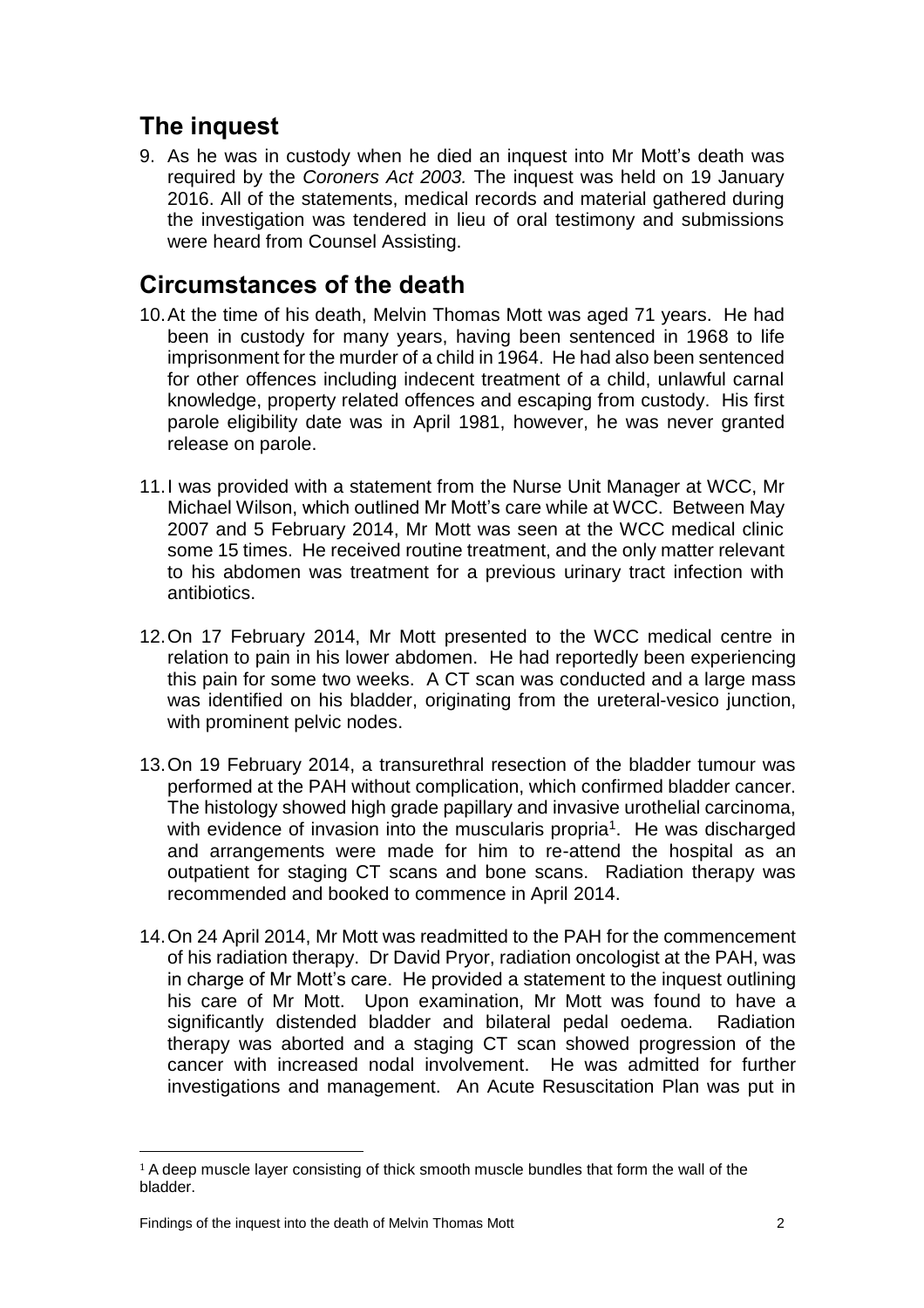# <span id="page-3-0"></span>**The inquest**

9. As he was in custody when he died an inquest into Mr Mott's death was required by the *Coroners Act 2003.* The inquest was held on 19 January 2016. All of the statements, medical records and material gathered during the investigation was tendered in lieu of oral testimony and submissions were heard from Counsel Assisting.

### **Circumstances of the death**

- 10.At the time of his death, Melvin Thomas Mott was aged 71 years. He had been in custody for many years, having been sentenced in 1968 to life imprisonment for the murder of a child in 1964. He had also been sentenced for other offences including indecent treatment of a child, unlawful carnal knowledge, property related offences and escaping from custody. His first parole eligibility date was in April 1981, however, he was never granted release on parole.
- 11.I was provided with a statement from the Nurse Unit Manager at WCC, Mr Michael Wilson, which outlined Mr Mott's care while at WCC. Between May 2007 and 5 February 2014, Mr Mott was seen at the WCC medical clinic some 15 times. He received routine treatment, and the only matter relevant to his abdomen was treatment for a previous urinary tract infection with antibiotics.
- 12.On 17 February 2014, Mr Mott presented to the WCC medical centre in relation to pain in his lower abdomen. He had reportedly been experiencing this pain for some two weeks. A CT scan was conducted and a large mass was identified on his bladder, originating from the ureteral-vesico junction, with prominent pelvic nodes.
- 13.On 19 February 2014, a transurethral resection of the bladder tumour was performed at the PAH without complication, which confirmed bladder cancer. The histology showed high grade papillary and invasive urothelial carcinoma, with evidence of invasion into the muscularis propria<sup>1</sup>. He was discharged and arrangements were made for him to re-attend the hospital as an outpatient for staging CT scans and bone scans. Radiation therapy was recommended and booked to commence in April 2014.
- 14.On 24 April 2014, Mr Mott was readmitted to the PAH for the commencement of his radiation therapy. Dr David Pryor, radiation oncologist at the PAH, was in charge of Mr Mott's care. He provided a statement to the inquest outlining his care of Mr Mott. Upon examination, Mr Mott was found to have a significantly distended bladder and bilateral pedal oedema. Radiation therapy was aborted and a staging CT scan showed progression of the cancer with increased nodal involvement. He was admitted for further investigations and management. An Acute Resuscitation Plan was put in

 $\overline{\phantom{a}}$ 

<sup>1</sup> A deep muscle layer consisting of thick smooth muscle bundles that form the wall of the bladder.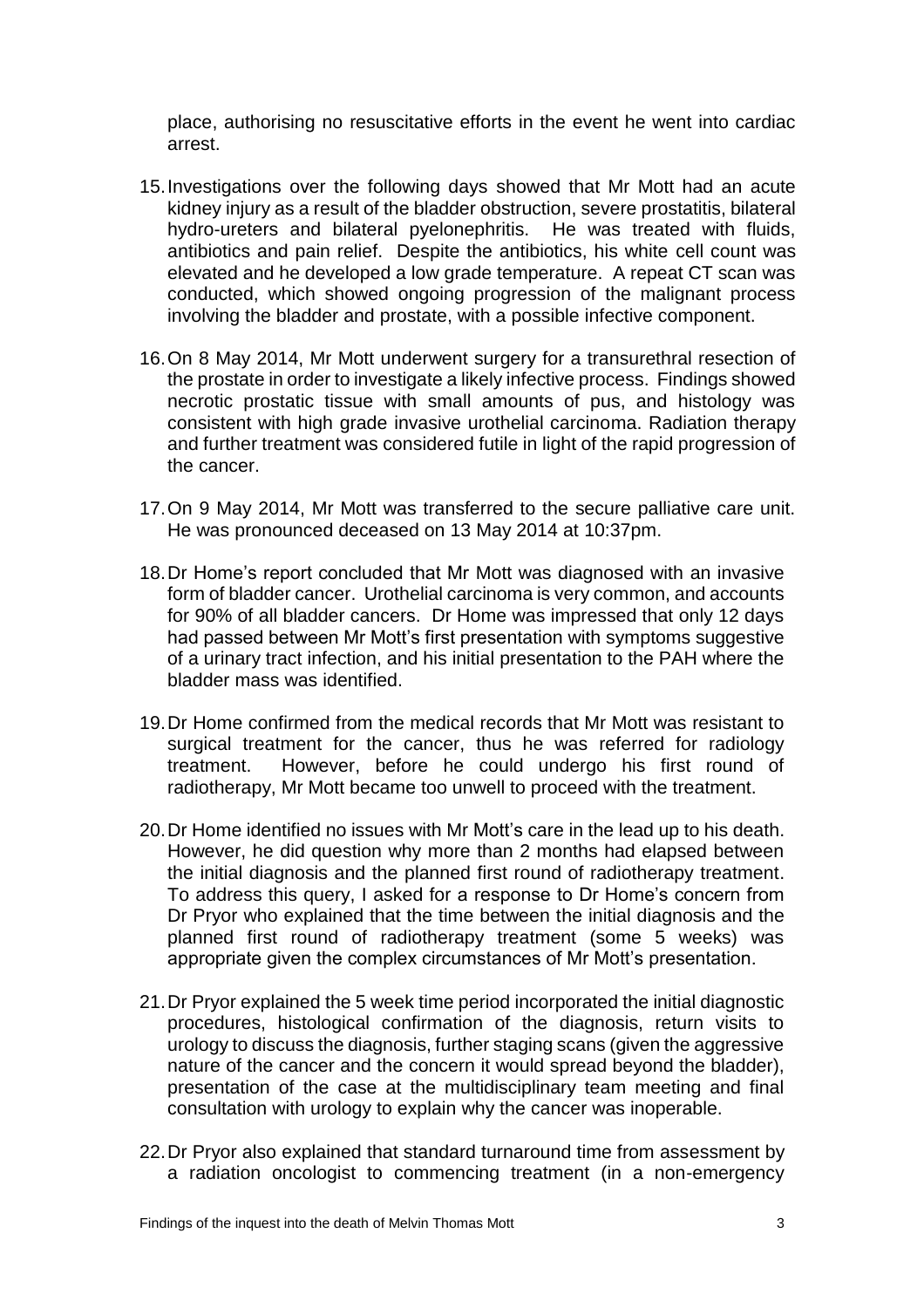place, authorising no resuscitative efforts in the event he went into cardiac arrest.

- 15.Investigations over the following days showed that Mr Mott had an acute kidney injury as a result of the bladder obstruction, severe prostatitis, bilateral hydro-ureters and bilateral pyelonephritis. He was treated with fluids, antibiotics and pain relief. Despite the antibiotics, his white cell count was elevated and he developed a low grade temperature. A repeat CT scan was conducted, which showed ongoing progression of the malignant process involving the bladder and prostate, with a possible infective component.
- 16.On 8 May 2014, Mr Mott underwent surgery for a transurethral resection of the prostate in order to investigate a likely infective process. Findings showed necrotic prostatic tissue with small amounts of pus, and histology was consistent with high grade invasive urothelial carcinoma. Radiation therapy and further treatment was considered futile in light of the rapid progression of the cancer.
- 17.On 9 May 2014, Mr Mott was transferred to the secure palliative care unit. He was pronounced deceased on 13 May 2014 at 10:37pm.
- 18.Dr Home's report concluded that Mr Mott was diagnosed with an invasive form of bladder cancer. Urothelial carcinoma is very common, and accounts for 90% of all bladder cancers. Dr Home was impressed that only 12 days had passed between Mr Mott's first presentation with symptoms suggestive of a urinary tract infection, and his initial presentation to the PAH where the bladder mass was identified.
- 19.Dr Home confirmed from the medical records that Mr Mott was resistant to surgical treatment for the cancer, thus he was referred for radiology treatment. However, before he could undergo his first round of radiotherapy, Mr Mott became too unwell to proceed with the treatment.
- 20.Dr Home identified no issues with Mr Mott's care in the lead up to his death. However, he did question why more than 2 months had elapsed between the initial diagnosis and the planned first round of radiotherapy treatment. To address this query, I asked for a response to Dr Home's concern from Dr Pryor who explained that the time between the initial diagnosis and the planned first round of radiotherapy treatment (some 5 weeks) was appropriate given the complex circumstances of Mr Mott's presentation.
- 21.Dr Pryor explained the 5 week time period incorporated the initial diagnostic procedures, histological confirmation of the diagnosis, return visits to urology to discuss the diagnosis, further staging scans (given the aggressive nature of the cancer and the concern it would spread beyond the bladder), presentation of the case at the multidisciplinary team meeting and final consultation with urology to explain why the cancer was inoperable.
- 22.Dr Pryor also explained that standard turnaround time from assessment by a radiation oncologist to commencing treatment (in a non-emergency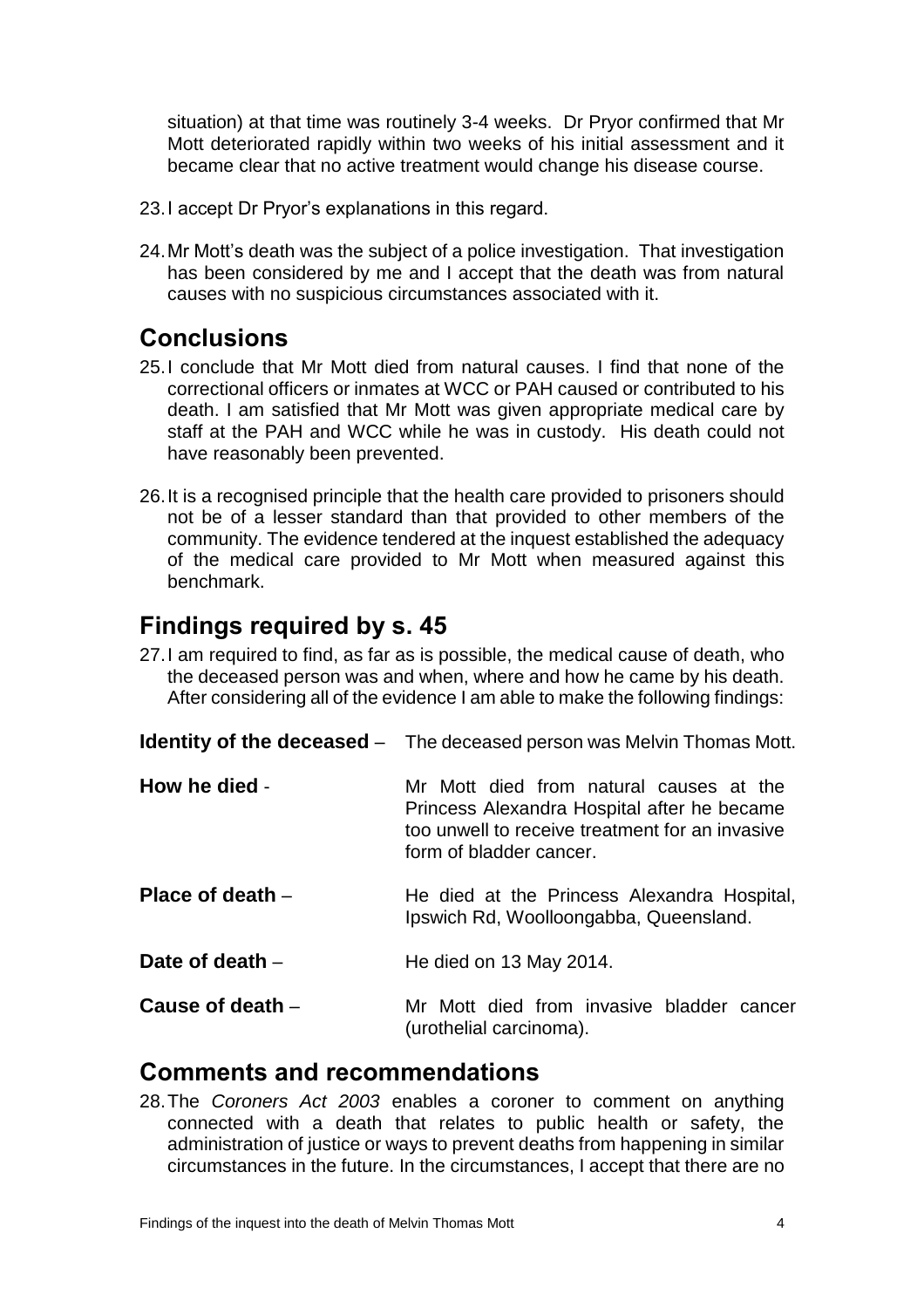situation) at that time was routinely 3-4 weeks. Dr Pryor confirmed that Mr Mott deteriorated rapidly within two weeks of his initial assessment and it became clear that no active treatment would change his disease course.

- 23.I accept Dr Pryor's explanations in this regard.
- 24.Mr Mott's death was the subject of a police investigation. That investigation has been considered by me and I accept that the death was from natural causes with no suspicious circumstances associated with it.

#### <span id="page-5-0"></span>**Conclusions**

- 25.I conclude that Mr Mott died from natural causes. I find that none of the correctional officers or inmates at WCC or PAH caused or contributed to his death. I am satisfied that Mr Mott was given appropriate medical care by staff at the PAH and WCC while he was in custody. His death could not have reasonably been prevented.
- 26.It is a recognised principle that the health care provided to prisoners should not be of a lesser standard than that provided to other members of the community. The evidence tendered at the inquest established the adequacy of the medical care provided to Mr Mott when measured against this benchmark.

#### <span id="page-5-1"></span>**Findings required by s. 45**

27.I am required to find, as far as is possible, the medical cause of death, who the deceased person was and when, where and how he came by his death. After considering all of the evidence I am able to make the following findings:

<span id="page-5-4"></span><span id="page-5-3"></span><span id="page-5-2"></span>

|                    | <b>Identity of the deceased</b> – The deceased person was Melvin Thomas Mott.                                                                                        |
|--------------------|----------------------------------------------------------------------------------------------------------------------------------------------------------------------|
| How he died -      | Mr Mott died from natural causes at the<br>Princess Alexandra Hospital after he became<br>too unwell to receive treatment for an invasive<br>form of bladder cancer. |
| Place of death $-$ | He died at the Princess Alexandra Hospital,<br>Ipswich Rd, Woolloongabba, Queensland.                                                                                |
| Date of death $-$  | He died on 13 May 2014.                                                                                                                                              |
| Cause of death $-$ | Mr Mott died from invasive bladder cancer<br>(urothelial carcinoma).                                                                                                 |

#### <span id="page-5-7"></span><span id="page-5-6"></span><span id="page-5-5"></span>**Comments and recommendations**

28.The *Coroners Act 2003* enables a coroner to comment on anything connected with a death that relates to public health or safety, the administration of justice or ways to prevent deaths from happening in similar circumstances in the future. In the circumstances, I accept that there are no